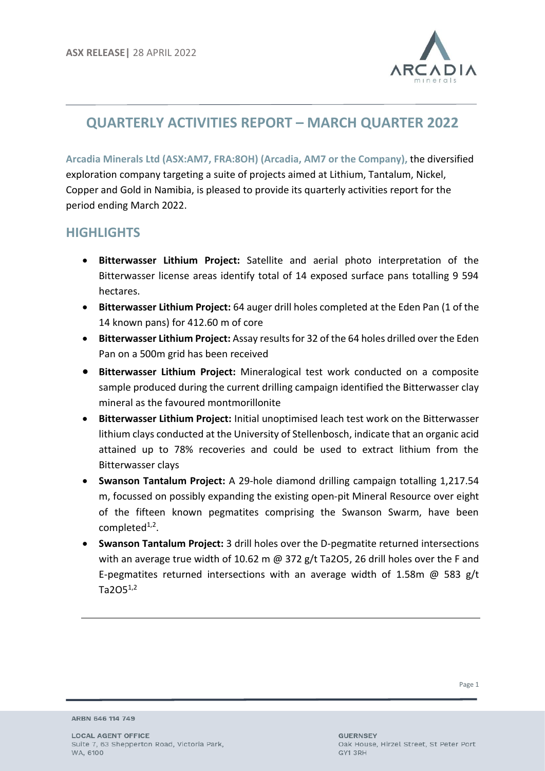

## **QUARTERLY ACTIVITIES REPORT – MARCH QUARTER 2022**

**Arcadia Minerals Ltd (ASX:AM7, FRA:8OH) (Arcadia, AM7 or the Company),** the diversified exploration company targeting a suite of projects aimed at Lithium, Tantalum, Nickel, Copper and Gold in Namibia, is pleased to provide its quarterly activities report for the period ending March 2022.

## **HIGHLIGHTS**

- **Bitterwasser Lithium Project:** Satellite and aerial photo interpretation of the Bitterwasser license areas identify total of 14 exposed surface pans totalling 9 594 hectares.
- **Bitterwasser Lithium Project:** 64 auger drill holes completed at the Eden Pan (1 of the 14 known pans) for 412.60 m of core
- **Bitterwasser Lithium Project:** Assay results for 32 of the 64 holes drilled over the Eden Pan on a 500m grid has been received
- **Bitterwasser Lithium Project:** Mineralogical test work conducted on a composite sample produced during the current drilling campaign identified the Bitterwasser clay mineral as the favoured montmorillonite
- **Bitterwasser Lithium Project:** Initial unoptimised leach test work on the Bitterwasser lithium clays conducted at the University of Stellenbosch, indicate that an organic acid attained up to 78% recoveries and could be used to extract lithium from the Bitterwasser clays
- **Swanson Tantalum Project:** A 29-hole diamond drilling campaign totalling 1,217.54 m, focussed on possibly expanding the existing open-pit Mineral Resource over eight of the fifteen known pegmatites comprising the Swanson Swarm, have been completed<sup>1,2</sup>.
- **Swanson Tantalum Project:** 3 drill holes over the D-pegmatite returned intersections with an average true width of 10.62 m  $\omega$  372 g/t Ta2O5, 26 drill holes over the F and E-pegmatites returned intersections with an average width of 1.58m  $\omega$  583 g/t  $Ta2O5^{1,2}$

ARBN 646 114 749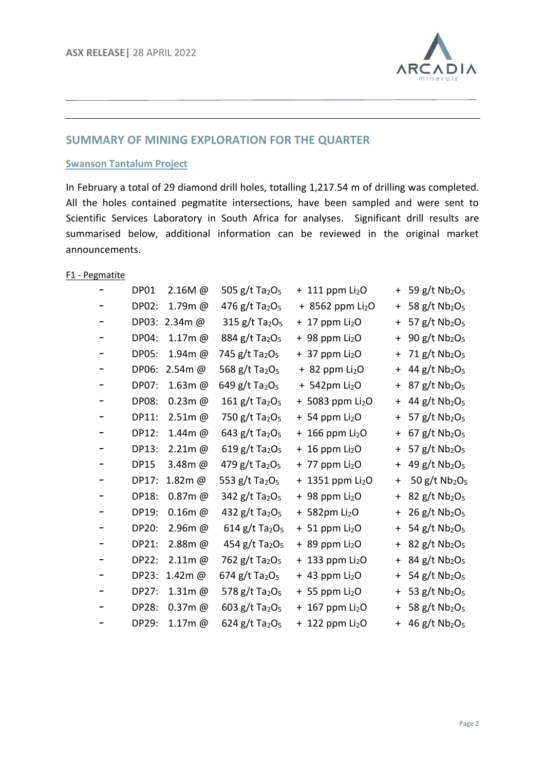

## **SUMMARY OF MINING EXPLORATION FOR THE QUARTER**

#### **Swanson Tantalum Project**

In February a total of 29 diamond drill holes, totalling 1,217.54 m of drilling was completed. All the holes contained pegmatite intersections, have been sampled and were sent to Scientific Services Laboratory in South Africa for analyses. Significant drill results are summarised below, additional information can be reviewed in the original market announcements.

#### F1 - Pegmatite

| DP01         | $2.16M$ @     | 505 g/t Ta <sub>2</sub> O <sub>5</sub>   | $+111$ ppm $Li2O$             | $+$        | 59 g/t Nb <sub>2</sub> O <sub>5</sub>   |
|--------------|---------------|------------------------------------------|-------------------------------|------------|-----------------------------------------|
| DP02:        | 1.79m@        | 476 $g/t$ Ta <sub>2</sub> O <sub>5</sub> | + 8562 ppm Li <sub>2</sub> O  | $\ddag$    | 58 g/t Nb <sub>2</sub> O <sub>5</sub>   |
|              | DP03: 2.34m @ | 315 g/t Ta <sub>2</sub> O <sub>5</sub>   | $+17$ ppm Li <sub>2</sub> O   | $\ddag$    | 57 $g/t$ Nb <sub>2</sub> O <sub>5</sub> |
| DP04:        | 1.17m@        | 884 g/t Ta <sub>2</sub> O <sub>5</sub>   | $+98$ ppm $Li2O$              | $\ddot{}$  | 90 g/t Nb <sub>2</sub> O <sub>5</sub>   |
| <b>DP05:</b> | 1.94m@        | 745 g/t Ta <sub>2</sub> O <sub>5</sub>   | $+37$ ppm Li <sub>2</sub> O   | $\ddot{}$  | 71 g/t Nb2O <sub>5</sub>                |
| DP06:        | $2.54m$ @     | 568 g/t Ta <sub>2</sub> O <sub>5</sub>   | $+82$ ppm $Li2O$              | $\ddag$    | 44 g/t Nb <sub>2</sub> O <sub>5</sub>   |
| DP07:        | 1.63m@        | 649 g/t Ta <sub>2</sub> O <sub>5</sub>   | $+ 542$ pm Li <sub>2</sub> O  | $\ddag$    | 87 g/t Nb <sub>2</sub> O <sub>5</sub>   |
| <b>DP08:</b> | $0.23m$ @     | 161 g/t Ta <sub>2</sub> O <sub>5</sub>   | + 5083 ppm Li <sub>2</sub> O  | $+$        | 44 g/t Nb <sub>2</sub> O <sub>5</sub>   |
| DP11:        | $2.51m$ @     | 750 g/t Ta <sub>2</sub> O <sub>5</sub>   | $+ 54$ ppm Li <sub>2</sub> O  | $\ddagger$ | 57 g/t Nb2O <sub>5</sub>                |
| DP12:        | 1.44m@        | 643 g/t Ta <sub>2</sub> O <sub>5</sub>   | $+166$ ppm Li <sub>2</sub> O  | $+$        | 67 g/t Nb <sub>2</sub> O <sub>5</sub>   |
| DP13:        | $2.21m$ @     | 619 g/t Ta <sub>2</sub> O <sub>5</sub>   | $+16$ ppm Li <sub>2</sub> O   | $\ddag$    | 57 g/t Nb2O <sub>5</sub>                |
| <b>DP15</b>  | 3.48m@        | 479 g/t Ta <sub>2</sub> O <sub>5</sub>   | $+ 77$ ppm Li <sub>2</sub> O  | $\ddag$    | 49 g/t Nb2O <sub>5</sub>                |
| DP17:        | 1.82m@        | 553 g/t Ta <sub>2</sub> O <sub>5</sub>   | + 1351 ppm $Li2O$             | $\ddag$    | 50 $g/t$ Nb <sub>2</sub> O <sub>5</sub> |
| DP18:        | $0.87m$ @     | 342 g/t Ta <sub>2</sub> O <sub>5</sub>   | $+98$ ppm Li <sub>2</sub> O   | $\ddag$    | 82 g/t Nb <sub>2</sub> O <sub>5</sub>   |
| DP19:        | $0.16m$ @     | 432 g/t Ta <sub>2</sub> O <sub>5</sub>   | + 582pm Li <sub>2</sub> O     | $\ddot{}$  | $26$ g/t Nb <sub>2</sub> O <sub>5</sub> |
| DP20:        | $2.96m$ @     | $614$ g/t Ta <sub>2</sub> O <sub>5</sub> | $+51$ ppm Li <sub>2</sub> O   | $\ddag$    | 54 g/t Nb2O <sub>5</sub>                |
| DP21:        | $2.88m$ @     | 454 g/t Ta <sub>2</sub> O <sub>5</sub>   | $+89$ ppm Li <sub>2</sub> O   | $\ddag$    | 82 g/t Nb2O <sub>5</sub>                |
| DP22:        | $2.11m$ @     | 762 g/t Ta <sub>2</sub> O <sub>5</sub>   | $+$ 133 ppm Li <sub>2</sub> O | $\ddag$    | 84 g/t Nb <sub>2</sub> O <sub>5</sub>   |
| DP23:        | 1.42m@        | 674 g/t Ta <sub>2</sub> O <sub>5</sub>   | $+$ 43 ppm Li <sub>2</sub> O  | $\ddot{}$  | 54 g/t Nb <sub>2</sub> O <sub>5</sub>   |
| DP27:        | $1.31m$ @     | 578 g/t Ta <sub>2</sub> O <sub>5</sub>   | $+55$ ppm Li <sub>2</sub> O   | $\ddot{}$  | 53 g/t Nb <sub>2</sub> O <sub>5</sub>   |
| DP28:        | $0.37m$ @     | 603 g/t Ta <sub>2</sub> O <sub>5</sub>   | $+ 167$ ppm Li <sub>2</sub> O | $\ddagger$ | 58 g/t Nb2O <sub>5</sub>                |
| DP29:        | $1.17m$ @     | 624 g/t Ta <sub>2</sub> O <sub>5</sub>   | $+ 122$ ppm Li <sub>2</sub> O |            | + 46 g/t $Nb2O5$                        |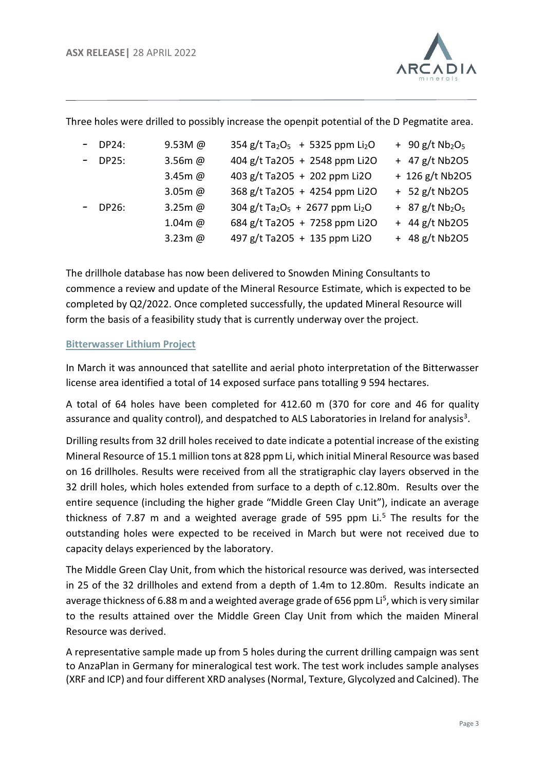

|           |           | mee noies were armed to possibly increase the open pit potential or the D Teginatite area. |                                           |
|-----------|-----------|--------------------------------------------------------------------------------------------|-------------------------------------------|
| $-$ DP24: | $9.53M$ @ | $354$ g/t Ta <sub>2</sub> O <sub>5</sub> + 5325 ppm Li <sub>2</sub> O                      | $+$ 90 g/t Nb <sub>2</sub> O <sub>5</sub> |
| $-$ DP25: | $3.56m$ @ | 404 g/t Ta2O5 + 2548 ppm Li2O                                                              | $+$ 47 g/t Nb2O5                          |
|           | 3.45m @   | 403 g/t Ta2O5 + 202 ppm Li2O                                                               | + 126 g/t Nb2O5                           |
|           | $3.05m$ @ | 368 g/t Ta2O5 + 4254 ppm Li2O                                                              | $+ 52$ g/t Nb2O5                          |
| $-$ DP26: | $3.25m$ @ | 304 g/t Ta <sub>2</sub> O <sub>5</sub> + 2677 ppm Li <sub>2</sub> O                        | $+$ 87 g/t Nb <sub>2</sub> O <sub>5</sub> |
|           | $1.04m$ @ | 684 g/t Ta2O5 + 7258 ppm Li2O                                                              | $+ 44 g/t$ Nb2O5                          |
|           | $3.23m$ @ | 497 g/t Ta2O5 + 135 ppm Li2O                                                               | $+ 48$ g/t Nb2O5                          |

Three holes were drilled to possibly increase the openpit potential of the D Pegmatite area.

The drillhole database has now been delivered to Snowden Mining Consultants to commence a review and update of the Mineral Resource Estimate, which is expected to be completed by Q2/2022. Once completed successfully, the updated Mineral Resource will form the basis of a feasibility study that is currently underway over the project.

#### **Bitterwasser Lithium Project**

In March it was announced that satellite and aerial photo interpretation of the Bitterwasser license area identified a total of 14 exposed surface pans totalling 9 594 hectares.

A total of 64 holes have been completed for 412.60 m (370 for core and 46 for quality assurance and quality control), and despatched to ALS Laboratories in Ireland for analysis<sup>3</sup>.

Drilling results from 32 drill holes received to date indicate a potential increase of the existing Mineral Resource of 15.1 million tons at 828 ppm Li, which initial Mineral Resource was based on 16 drillholes. Results were received from all the stratigraphic clay layers observed in the 32 drill holes, which holes extended from surface to a depth of c.12.80m. Results over the entire sequence (including the higher grade "Middle Green Clay Unit"), indicate an average thickness of 7.87 m and a weighted average grade of 595 ppm  $Li<sup>5</sup>$  The results for the outstanding holes were expected to be received in March but were not received due to capacity delays experienced by the laboratory.

The Middle Green Clay Unit, from which the historical resource was derived, was intersected in 25 of the 32 drillholes and extend from a depth of 1.4m to 12.80m. Results indicate an average thickness of 6.88 m and a weighted average grade of 656 ppm Li<sup>5</sup>, which is very similar to the results attained over the Middle Green Clay Unit from which the maiden Mineral Resource was derived.

A representative sample made up from 5 holes during the current drilling campaign was sent to AnzaPlan in Germany for mineralogical test work. The test work includes sample analyses (XRF and ICP) and four different XRD analyses (Normal, Texture, Glycolyzed and Calcined). The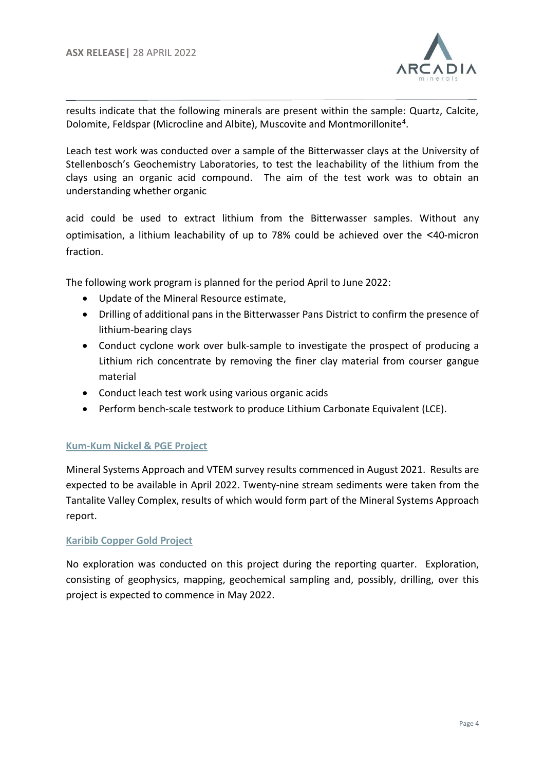

results indicate that the following minerals are present within the sample: Quartz, Calcite, Dolomite, Feldspar (Microcline and Albite), Muscovite and Montmorillonite<sup>4</sup>.

Leach test work was conducted over a sample of the Bitterwasser clays at the University of Stellenbosch's Geochemistry Laboratories, to test the leachability of the lithium from the clays using an organic acid compound. The aim of the test work was to obtain an understanding whether organic

acid could be used to extract lithium from the Bitterwasser samples. Without any optimisation, a lithium leachability of up to 78% could be achieved over the <40-micron fraction.

The following work program is planned for the period April to June 2022:

- Update of the Mineral Resource estimate,
- Drilling of additional pans in the Bitterwasser Pans District to confirm the presence of lithium-bearing clays
- Conduct cyclone work over bulk-sample to investigate the prospect of producing a Lithium rich concentrate by removing the finer clay material from courser gangue material
- Conduct leach test work using various organic acids
- Perform bench-scale testwork to produce Lithium Carbonate Equivalent (LCE).

## **Kum-Kum Nickel & PGE Project**

Mineral Systems Approach and VTEM survey results commenced in August 2021. Results are expected to be available in April 2022. Twenty-nine stream sediments were taken from the Tantalite Valley Complex, results of which would form part of the Mineral Systems Approach report.

#### **Karibib Copper Gold Project**

No exploration was conducted on this project during the reporting quarter. Exploration, consisting of geophysics, mapping, geochemical sampling and, possibly, drilling, over this project is expected to commence in May 2022.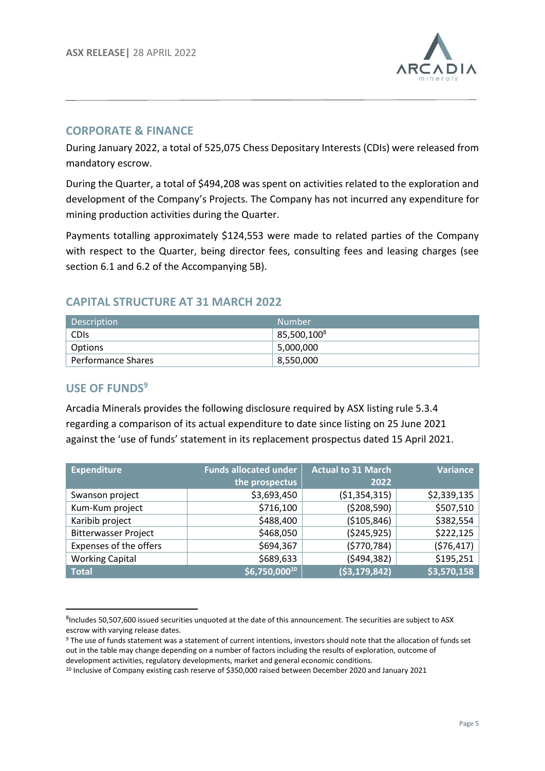

## **CORPORATE & FINANCE**

During January 2022, a total of 525,075 Chess Depositary Interests (CDIs) were released from mandatory escrow.

During the Quarter, a total of \$494,208 was spent on activities related to the exploration and development of the Company's Projects. The Company has not incurred any expenditure for mining production activities during the Quarter.

Payments totalling approximately \$124,553 were made to related parties of the Company with respect to the Quarter, being director fees, consulting fees and leasing charges (see section 6.1 and 6.2 of the Accompanying 5B).

## **CAPITAL STRUCTURE AT 31 MARCH 2022**

| Description        | Number          |
|--------------------|-----------------|
| CDIs               | 85,500,100 $^8$ |
| Options            | 5,000,000       |
| Performance Shares | 8,550,000       |

## **USE OF FUNDS<sup>9</sup>**

Arcadia Minerals provides the following disclosure required by ASX listing rule 5.3.4 regarding a comparison of its actual expenditure to date since listing on 25 June 2021 against the 'use of funds' statement in its replacement prospectus dated 15 April 2021.

| <b>Expenditure</b>          | <b>Funds allocated under</b> | <b>Actual to 31 March</b> | <b>Variance</b> |
|-----------------------------|------------------------------|---------------------------|-----------------|
|                             | the prospectus               | 2022                      |                 |
| Swanson project             | \$3,693,450                  | (51, 354, 315)            | \$2,339,135     |
| Kum-Kum project             | \$716,100                    | (5208, 590)               | \$507,510       |
| Karibib project             | \$488,400                    | (\$105,846)               | \$382,554       |
| <b>Bitterwasser Project</b> | \$468,050                    | ( \$245, 925)             | \$222,125       |
| Expenses of the offers      | \$694,367                    | (5770, 784)               | (576, 417)      |
| <b>Working Capital</b>      | \$689,633                    | (5494, 382)               | \$195,251       |
| <b>Total</b>                | $56,750,000^{10}$            | (53, 179, 842)            | \$3,570,158     |

<sup>&</sup>lt;sup>8</sup>Includes 50,507,600 issued securities unquoted at the date of this announcement. The securities are subject to ASX escrow with varying release dates.

<sup>9</sup> The use of funds statement was a statement of current intentions, investors should note that the allocation of funds set out in the table may change depending on a number of factors including the results of exploration, outcome of development activities, regulatory developments, market and general economic conditions.

<sup>10</sup> Inclusive of Company existing cash reserve of \$350,000 raised between December 2020 and January 2021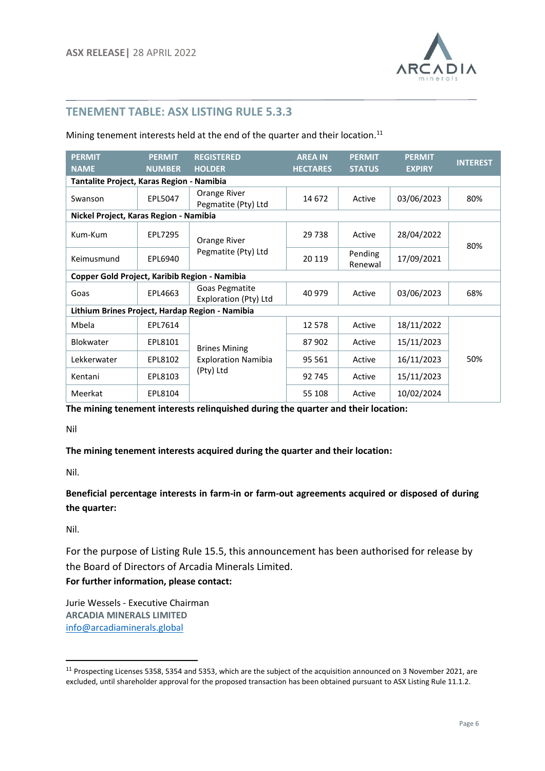

## **TENEMENT TABLE: ASX LISTING RULE 5.3.3**

Mining tenement interests held at the end of the quarter and their location.<sup>11</sup>

| <b>PERMIT</b><br><b>NAME</b>                  | <b>PERMIT</b><br><b>NUMBER</b> | <b>REGISTERED</b><br><b>HOLDER</b>              | <b>AREA IN</b><br><b>HECTARES</b> | <b>PERMIT</b><br><b>STATUS</b> | <b>PERMIT</b><br><b>EXPIRY</b> | <b>INTEREST</b> |
|-----------------------------------------------|--------------------------------|-------------------------------------------------|-----------------------------------|--------------------------------|--------------------------------|-----------------|
| Tantalite Project, Karas Region - Namibia     |                                |                                                 |                                   |                                |                                |                 |
| Swanson                                       | EPL5047                        | Orange River<br>Pegmatite (Pty) Ltd             | 14 672                            | Active                         | 03/06/2023                     | 80%             |
| Nickel Project, Karas Region - Namibia        |                                |                                                 |                                   |                                |                                |                 |
| Kum-Kum                                       | EPL7295                        | Orange River                                    | 29 7 38                           | Active                         | 28/04/2022                     | 80%             |
| Keimusmund                                    | EPL6940                        | Pegmatite (Pty) Ltd                             | 20 119                            | Pending<br>Renewal             | 17/09/2021                     |                 |
| Copper Gold Project, Karibib Region - Namibia |                                |                                                 |                                   |                                |                                |                 |
| Goas                                          | EPL4663                        | Goas Pegmatite<br>Exploration (Pty) Ltd         | 40 979                            | Active                         | 03/06/2023                     | 68%             |
|                                               |                                | Lithium Brines Project, Hardap Region - Namibia |                                   |                                |                                |                 |
| Mbela                                         | EPL7614                        |                                                 | 12 5 78                           | Active                         | 18/11/2022                     |                 |
| <b>Blokwater</b>                              | EPL8101                        | <b>Brines Mining</b>                            | 87 902                            | Active                         | 15/11/2023                     |                 |
| Lekkerwater                                   | EPL8102                        | <b>Exploration Namibia</b>                      | 95 561                            | Active                         | 16/11/2023                     | 50%             |
| Kentani                                       | EPL8103                        | (Pty) Ltd                                       | 92 745                            | Active                         | 15/11/2023                     |                 |
| Meerkat                                       | EPL8104                        |                                                 | 55 108                            | Active                         | 10/02/2024                     |                 |

**The mining tenement interests relinquished during the quarter and their location:**

Nil

**The mining tenement interests acquired during the quarter and their location:**

Nil.

**Beneficial percentage interests in farm-in or farm-out agreements acquired or disposed of during the quarter:**

Nil.

For the purpose of Listing Rule 15.5, this announcement has been authorised for release by the Board of Directors of Arcadia Minerals Limited.

**For further information, please contact:** 

Jurie Wessels - Executive Chairman **ARCADIA MINERALS LIMITED** [info@arcadiaminerals.global](mailto:info@arcadiaminerals.global)

<sup>&</sup>lt;sup>11</sup> Prospecting Licenses 5358, 5354 and 5353, which are the subject of the acquisition announced on 3 November 2021, are excluded, until shareholder approval for the proposed transaction has been obtained pursuant to ASX Listing Rule 11.1.2.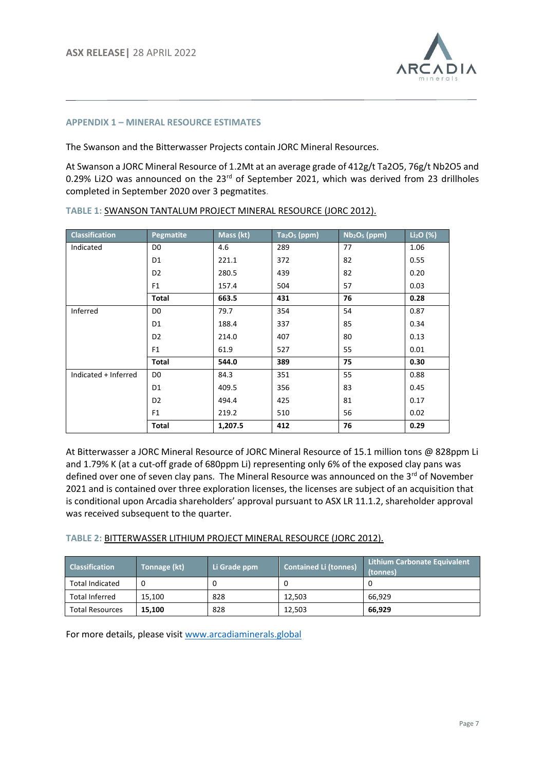

#### **APPENDIX 1 – MINERAL RESOURCE ESTIMATES**

The Swanson and the Bitterwasser Projects contain JORC Mineral Resources.

At Swanson a JORC Mineral Resource of 1.2Mt at an average grade of 412g/t Ta2O5, 76g/t Nb2O5 and 0.29% Li2O was announced on the 23<sup>rd</sup> of September 2021, which was derived from 23 drillholes completed in September 2020 over 3 pegmatites.

| <b>Classification</b> | <b>Pegmatite</b> | $Maxs$ (kt) | $Ta_2O_5$ (ppm) | $Nb2O5$ (ppm) | $Li2O$ (%) |
|-----------------------|------------------|-------------|-----------------|---------------|------------|
| Indicated             | D <sub>0</sub>   | 4.6         | 289             | 77            | 1.06       |
|                       | D1               | 221.1       | 372             | 82            | 0.55       |
|                       | D <sub>2</sub>   | 280.5       | 439             | 82            | 0.20       |
|                       | F <sub>1</sub>   | 157.4       | 504             | 57            | 0.03       |
|                       | <b>Total</b>     | 663.5       | 431             | 76            | 0.28       |
| Inferred              | D0               | 79.7        | 354             | 54            | 0.87       |
|                       | D1               | 188.4       | 337             | 85            | 0.34       |
|                       | D <sub>2</sub>   | 214.0       | 407             | 80            | 0.13       |
|                       | F <sub>1</sub>   | 61.9        | 527             | 55            | 0.01       |
|                       | <b>Total</b>     | 544.0       | 389             | 75            | 0.30       |
| Indicated + Inferred  | D <sub>0</sub>   | 84.3        | 351             | 55            | 0.88       |
|                       | D <sub>1</sub>   | 409.5       | 356             | 83            | 0.45       |
|                       | D <sub>2</sub>   | 494.4       | 425             | 81            | 0.17       |
|                       | F <sub>1</sub>   | 219.2       | 510             | 56            | 0.02       |
|                       | <b>Total</b>     | 1,207.5     | 412             | 76            | 0.29       |

**TABLE 1:** SWANSON TANTALUM PROJECT MINERAL RESOURCE (JORC 2012).

At Bitterwasser a JORC Mineral Resource of JORC Mineral Resource of 15.1 million tons @ 828ppm Li and 1.79% K (at a cut-off grade of 680ppm Li) representing only 6% of the exposed clay pans was defined over one of seven clay pans. The Mineral Resource was announced on the 3<sup>rd</sup> of November 2021 and is contained over three exploration licenses, the licenses are subject of an acquisition that is conditional upon Arcadia shareholders' approval pursuant to ASX LR 11.1.2, shareholder approval was received subsequent to the quarter.

#### **TABLE 2:** BITTERWASSER LITHIUM PROJECT MINERAL RESOURCE (JORC 2012).

| <b>Classification</b>  | Tonnage (kt) | Li Grade ppm | <b>Contained Li (tonnes)</b> | <b>Lithium Carbonate Equivalent</b><br>(tonnes) |
|------------------------|--------------|--------------|------------------------------|-------------------------------------------------|
| <b>Total Indicated</b> |              |              |                              |                                                 |
| <b>Total Inferred</b>  | 15.100       | 828          | 12.503                       | 66.929                                          |
| <b>Total Resources</b> | 15.100       | 828          | 12.503                       | 66.929                                          |

For more details, please visit [www.arcadiaminerals.global](http://www.arcadiaminerals.global/)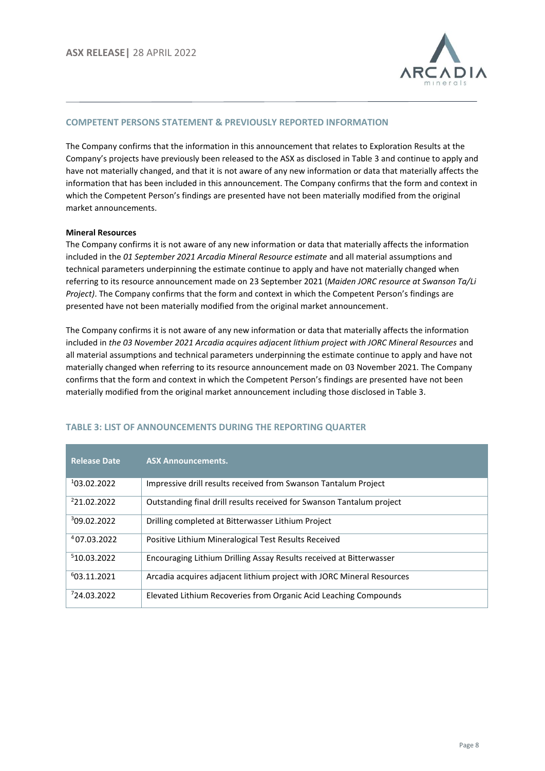

#### **COMPETENT PERSONS STATEMENT & PREVIOUSLY REPORTED INFORMATION**

The Company confirms that the information in this announcement that relates to Exploration Results at the Company's projects have previously been released to the ASX as disclosed in Table 3 and continue to apply and have not materially changed, and that it is not aware of any new information or data that materially affects the information that has been included in this announcement. The Company confirms that the form and context in which the Competent Person's findings are presented have not been materially modified from the original market announcements.

#### **Mineral Resources**

The Company confirms it is not aware of any new information or data that materially affects the information included in the *01 September 2021 Arcadia Mineral Resource estimate* and all material assumptions and technical parameters underpinning the estimate continue to apply and have not materially changed when referring to its resource announcement made on 23 September 2021 (*Maiden JORC resource at Swanson Ta/Li Project)*. The Company confirms that the form and context in which the Competent Person's findings are presented have not been materially modified from the original market announcement.

The Company confirms it is not aware of any new information or data that materially affects the information included in *the 03 November 2021 Arcadia acquires adjacent lithium project with JORC Mineral Resources* and all material assumptions and technical parameters underpinning the estimate continue to apply and have not materially changed when referring to its resource announcement made on 03 November 2021. The Company confirms that the form and context in which the Competent Person's findings are presented have not been materially modified from the original market announcement including those disclosed in Table 3.

| <b>Release Date</b>     | <b>ASX Announcements.</b>                                             |
|-------------------------|-----------------------------------------------------------------------|
| 103.02.2022             | Impressive drill results received from Swanson Tantalum Project       |
| <sup>2</sup> 21.02.2022 | Outstanding final drill results received for Swanson Tantalum project |
| 309.02.2022             | Drilling completed at Bitterwasser Lithium Project                    |
| 407.03.2022             | Positive Lithium Mineralogical Test Results Received                  |
| 510.03.2022             | Encouraging Lithium Drilling Assay Results received at Bitterwasser   |
| 603.11.2021             | Arcadia acquires adjacent lithium project with JORC Mineral Resources |
| 724.03.2022             | Elevated Lithium Recoveries from Organic Acid Leaching Compounds      |

#### **TABLE 3: LIST OF ANNOUNCEMENTS DURING THE REPORTING QUARTER**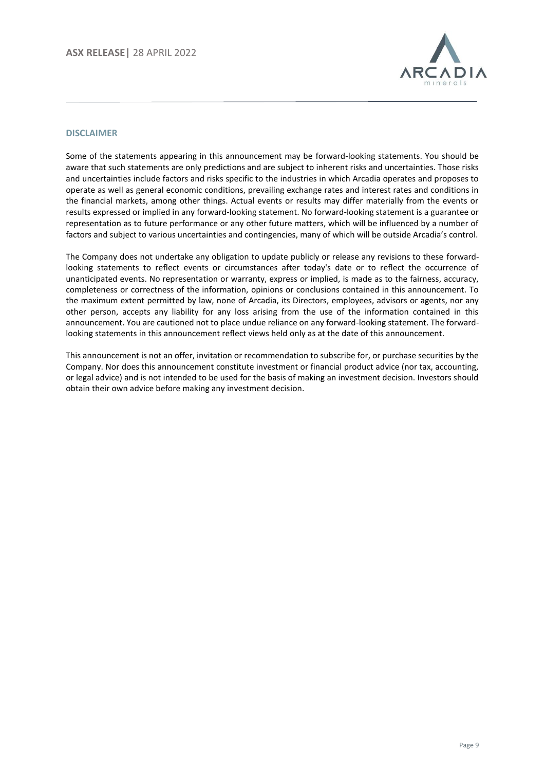

#### **DISCLAIMER**

Some of the statements appearing in this announcement may be forward-looking statements. You should be aware that such statements are only predictions and are subject to inherent risks and uncertainties. Those risks and uncertainties include factors and risks specific to the industries in which Arcadia operates and proposes to operate as well as general economic conditions, prevailing exchange rates and interest rates and conditions in the financial markets, among other things. Actual events or results may differ materially from the events or results expressed or implied in any forward-looking statement. No forward-looking statement is a guarantee or representation as to future performance or any other future matters, which will be influenced by a number of factors and subject to various uncertainties and contingencies, many of which will be outside Arcadia's control.

The Company does not undertake any obligation to update publicly or release any revisions to these forwardlooking statements to reflect events or circumstances after today's date or to reflect the occurrence of unanticipated events. No representation or warranty, express or implied, is made as to the fairness, accuracy, completeness or correctness of the information, opinions or conclusions contained in this announcement. To the maximum extent permitted by law, none of Arcadia, its Directors, employees, advisors or agents, nor any other person, accepts any liability for any loss arising from the use of the information contained in this announcement. You are cautioned not to place undue reliance on any forward-looking statement. The forwardlooking statements in this announcement reflect views held only as at the date of this announcement.

This announcement is not an offer, invitation or recommendation to subscribe for, or purchase securities by the Company. Nor does this announcement constitute investment or financial product advice (nor tax, accounting, or legal advice) and is not intended to be used for the basis of making an investment decision. Investors should obtain their own advice before making any investment decision.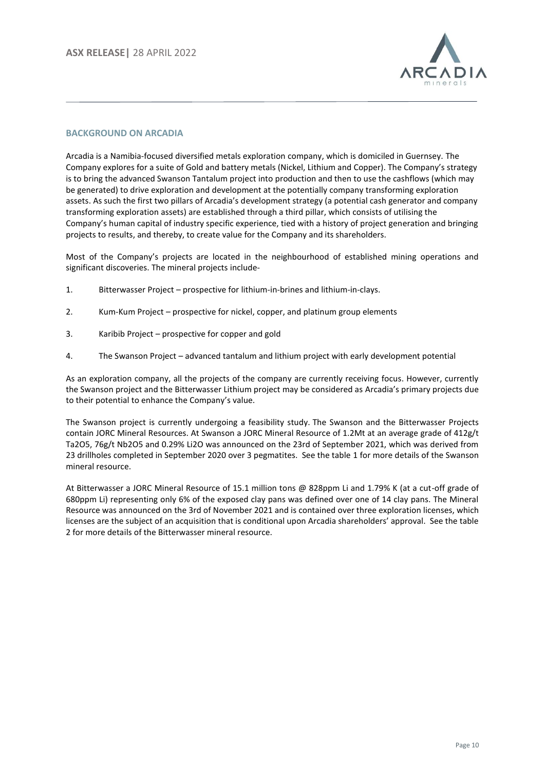

#### **BACKGROUND ON ARCADIA**

Arcadia is a Namibia-focused diversified metals exploration company, which is domiciled in Guernsey. The Company explores for a suite of Gold and battery metals (Nickel, Lithium and Copper). The Company's strategy is to bring the advanced Swanson Tantalum project into production and then to use the cashflows (which may be generated) to drive exploration and development at the potentially company transforming exploration assets. As such the first two pillars of Arcadia's development strategy (a potential cash generator and company transforming exploration assets) are established through a third pillar, which consists of utilising the Company's human capital of industry specific experience, tied with a history of project generation and bringing projects to results, and thereby, to create value for the Company and its shareholders.

Most of the Company's projects are located in the neighbourhood of established mining operations and significant discoveries. The mineral projects include-

- 1. Bitterwasser Project prospective for lithium-in-brines and lithium-in-clays.
- 2. Kum-Kum Project prospective for nickel, copper, and platinum group elements
- 3. Karibib Project prospective for copper and gold
- 4. The Swanson Project advanced tantalum and lithium project with early development potential

As an exploration company, all the projects of the company are currently receiving focus. However, currently the Swanson project and the Bitterwasser Lithium project may be considered as Arcadia's primary projects due to their potential to enhance the Company's value.

The Swanson project is currently undergoing a feasibility study. The Swanson and the Bitterwasser Projects contain JORC Mineral Resources. At Swanson a JORC Mineral Resource of 1.2Mt at an average grade of 412g/t Ta2O5, 76g/t Nb2O5 and 0.29% Li2O was announced on the 23rd of September 2021, which was derived from 23 drillholes completed in September 2020 over 3 pegmatites. See the table 1 for more details of the Swanson mineral resource.

At Bitterwasser a JORC Mineral Resource of 15.1 million tons @ 828ppm Li and 1.79% K (at a cut-off grade of 680ppm Li) representing only 6% of the exposed clay pans was defined over one of 14 clay pans. The Mineral Resource was announced on the 3rd of November 2021 and is contained over three exploration licenses, which licenses are the subject of an acquisition that is conditional upon Arcadia shareholders' approval. See the table 2 for more details of the Bitterwasser mineral resource.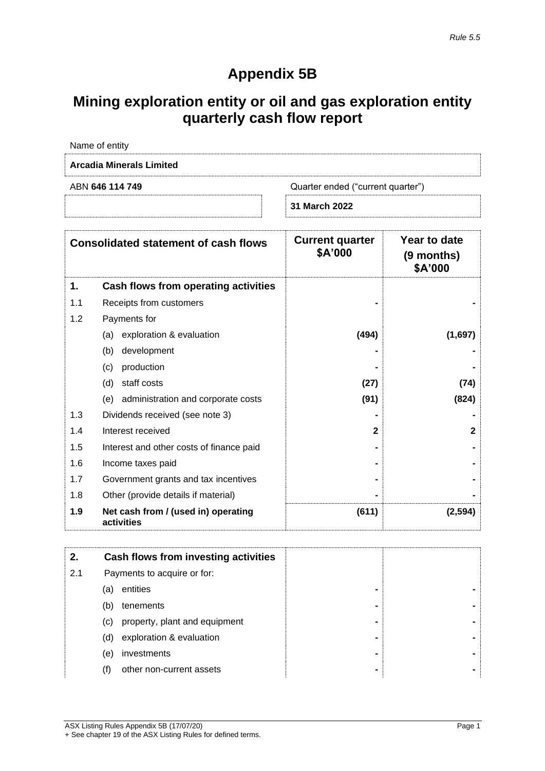# **Appendix 5B**

# **Mining exploration entity or oil and gas exploration entity quarterly cash flow report**

|                                 | 31 March 2022                     |
|---------------------------------|-----------------------------------|
| ABN 646 114 749                 | Quarter ended ("current quarter") |
| <b>Arcadia Minerals Limited</b> |                                   |
| Name of entity                  |                                   |

|     | <b>Consolidated statement of cash flows</b>       | <b>Current quarter</b><br>\$A'000 | Year to date<br>(9 months)<br>\$A'000 |
|-----|---------------------------------------------------|-----------------------------------|---------------------------------------|
| 1.  | Cash flows from operating activities              |                                   |                                       |
| 1.1 | Receipts from customers                           |                                   |                                       |
| 1.2 | Payments for                                      |                                   |                                       |
|     | (a) exploration & evaluation                      | (494)                             | (1,697)                               |
|     | development<br>(b)                                |                                   |                                       |
|     | production<br>(c)                                 |                                   |                                       |
|     | staff costs<br>(d)                                | (27)                              | (74)                                  |
|     | (e) administration and corporate costs            | (91)                              | (824)                                 |
| 1.3 | Dividends received (see note 3)                   |                                   |                                       |
| 1.4 | Interest received                                 | $\mathbf{2}$                      | $\mathbf{2}$                          |
| 1.5 | Interest and other costs of finance paid          |                                   |                                       |
| 1.6 | Income taxes paid                                 |                                   |                                       |
| 1.7 | Government grants and tax incentives              |                                   |                                       |
| 1.8 | Other (provide details if material)               |                                   |                                       |
| 1.9 | Net cash from / (used in) operating<br>activities | (611)                             | (2, 594)                              |

|     |                   | Cash flows from investing activities |                |  |
|-----|-------------------|--------------------------------------|----------------|--|
| 2.1 |                   | Payments to acquire or for:          |                |  |
|     | (a)               | entities                             | $\blacksquare$ |  |
|     | (b)               | tenements                            | -              |  |
|     | $\left( c\right)$ | property, plant and equipment        | $\blacksquare$ |  |
|     | (d)               | exploration & evaluation             | $\blacksquare$ |  |
|     | (e)               | investments                          | $\blacksquare$ |  |
|     | (†)               | other non-current assets             | $\blacksquare$ |  |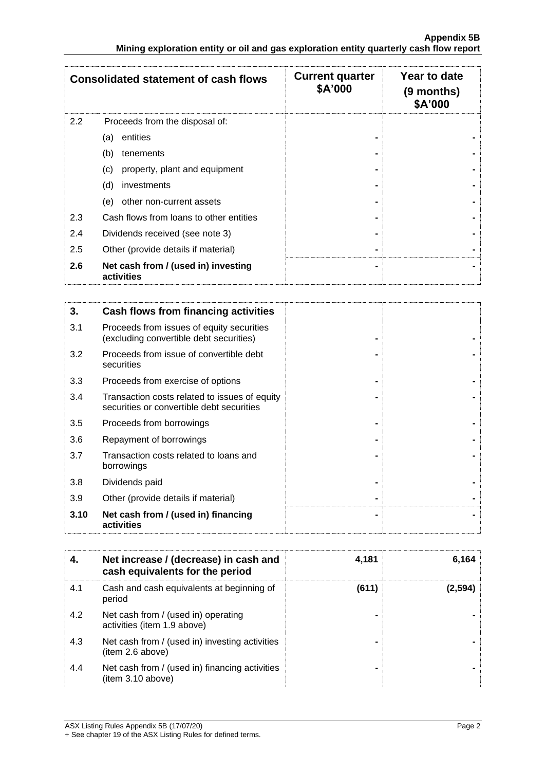|     | <b>Consolidated statement of cash flows</b>       | <b>Current quarter</b><br>\$A'000 | Year to date<br>(9 months)<br>\$A'000 |
|-----|---------------------------------------------------|-----------------------------------|---------------------------------------|
| 2.2 | Proceeds from the disposal of:                    |                                   |                                       |
|     | entities<br>(a)                                   |                                   |                                       |
|     | (b)<br>tenements                                  |                                   |                                       |
|     | property, plant and equipment<br>(c)              |                                   |                                       |
|     | (d)<br>investments                                |                                   |                                       |
|     | other non-current assets<br>(e)                   |                                   |                                       |
| 2.3 | Cash flows from loans to other entities           |                                   |                                       |
| 2.4 | Dividends received (see note 3)                   |                                   |                                       |
| 2.5 | Other (provide details if material)               |                                   |                                       |
| 2.6 | Net cash from / (used in) investing<br>activities |                                   |                                       |

| 3.   | Cash flows from financing activities                                                       |  |
|------|--------------------------------------------------------------------------------------------|--|
| 3.1  | Proceeds from issues of equity securities<br>(excluding convertible debt securities)       |  |
| 3.2  | Proceeds from issue of convertible debt<br>securities                                      |  |
| 3.3  | Proceeds from exercise of options                                                          |  |
| 3.4  | Transaction costs related to issues of equity<br>securities or convertible debt securities |  |
| 3.5  | Proceeds from borrowings                                                                   |  |
| 3.6  | Repayment of borrowings                                                                    |  |
| 3.7  | Transaction costs related to loans and<br>borrowings                                       |  |
| 3.8  | Dividends paid                                                                             |  |
| 3.9  | Other (provide details if material)                                                        |  |
| 3.10 | Net cash from / (used in) financing<br>activities                                          |  |

| 4.  | Net increase / (decrease) in cash and<br>cash equivalents for the period | 4,181 | 6,164   |
|-----|--------------------------------------------------------------------------|-------|---------|
| 4.1 | Cash and cash equivalents at beginning of<br>period                      | (611) | (2.594) |
| 4.2 | Net cash from / (used in) operating<br>activities (item 1.9 above)       | -     |         |
| 4.3 | Net cash from / (used in) investing activities<br>(item 2.6 above)       |       |         |
| 4.4 | Net cash from / (used in) financing activities<br>(item 3.10 above)      |       |         |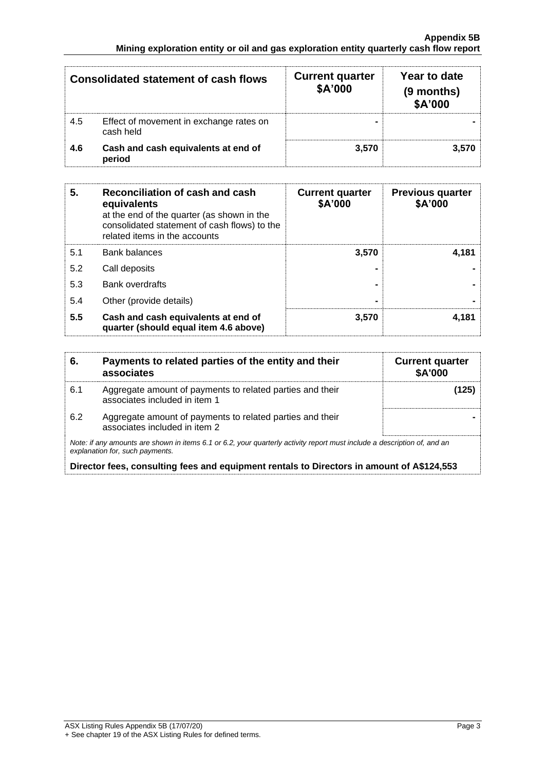|     | Consolidated statement of cash flows                 | <b>Current quarter</b><br>\$A'000 | Year to date<br>(9 months)<br>\$A'000 |
|-----|------------------------------------------------------|-----------------------------------|---------------------------------------|
| 4.5 | Effect of movement in exchange rates on<br>cash held |                                   |                                       |
| 4.6 | Cash and cash equivalents at end of<br>period        | 3.570                             | 3.570                                 |

| 5.  | Reconciliation of cash and cash<br>equivalents<br>at the end of the quarter (as shown in the<br>consolidated statement of cash flows) to the<br>related items in the accounts | <b>Current quarter</b><br>\$A'000 | <b>Previous quarter</b><br>\$A'000 |
|-----|-------------------------------------------------------------------------------------------------------------------------------------------------------------------------------|-----------------------------------|------------------------------------|
| 5.1 | <b>Bank balances</b>                                                                                                                                                          | 3,570                             | 4.181                              |
| 5.2 | Call deposits                                                                                                                                                                 |                                   |                                    |
| 5.3 | <b>Bank overdrafts</b>                                                                                                                                                        |                                   |                                    |
| 5.4 | Other (provide details)                                                                                                                                                       | -                                 |                                    |
| 5.5 | Cash and cash equivalents at end of<br>quarter (should equal item 4.6 above)                                                                                                  | 3,570                             | 4.181                              |

| 6.  | Payments to related parties of the entity and their<br>associates                                                                                           | <b>Current quarter</b><br><b>\$A'000</b> |
|-----|-------------------------------------------------------------------------------------------------------------------------------------------------------------|------------------------------------------|
| 6.1 | Aggregate amount of payments to related parties and their<br>associates included in item 1                                                                  | (125)                                    |
| 6.2 | Aggregate amount of payments to related parties and their<br>associates included in item 2                                                                  |                                          |
|     | Note: if any amounts are shown in items 6.1 or 6.2, your quarterly activity report must include a description of, and an<br>explanation for, such payments. |                                          |

**Director fees, consulting fees and equipment rentals to Directors in amount of A\$124,553**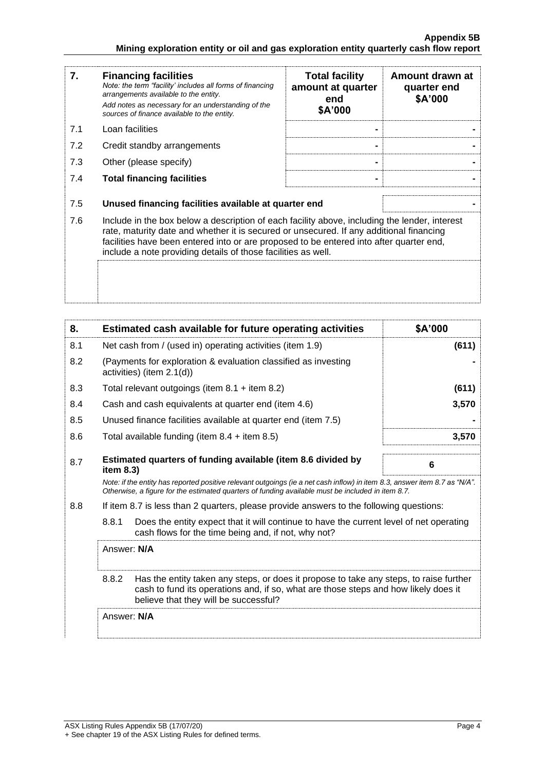| 7.  | <b>Financing facilities</b><br>Note: the term "facility' includes all forms of financing<br>arrangements available to the entity.<br>Add notes as necessary for an understanding of the<br>sources of finance available to the entity.                                                                                                               | <b>Total facility</b><br>amount at quarter<br>end<br>\$A'000 | Amount drawn at<br>quarter end<br>\$A'000 |
|-----|------------------------------------------------------------------------------------------------------------------------------------------------------------------------------------------------------------------------------------------------------------------------------------------------------------------------------------------------------|--------------------------------------------------------------|-------------------------------------------|
| 7.1 | Loan facilities                                                                                                                                                                                                                                                                                                                                      |                                                              |                                           |
| 7.2 | Credit standby arrangements                                                                                                                                                                                                                                                                                                                          |                                                              |                                           |
| 7.3 | Other (please specify)                                                                                                                                                                                                                                                                                                                               |                                                              |                                           |
| 7.4 | <b>Total financing facilities</b>                                                                                                                                                                                                                                                                                                                    |                                                              |                                           |
| 7.5 | Unused financing facilities available at quarter end                                                                                                                                                                                                                                                                                                 |                                                              |                                           |
| 7.6 | Include in the box below a description of each facility above, including the lender, interest<br>rate, maturity date and whether it is secured or unsecured. If any additional financing<br>facilities have been entered into or are proposed to be entered into after quarter end,<br>include a note providing details of those facilities as well. |                                                              |                                           |
|     |                                                                                                                                                                                                                                                                                                                                                      |                                                              |                                           |

| 8.  | Estimated cash available for future operating activities                                                                                                                                                                        | \$A'000 |
|-----|---------------------------------------------------------------------------------------------------------------------------------------------------------------------------------------------------------------------------------|---------|
| 8.1 | Net cash from / (used in) operating activities (item 1.9)                                                                                                                                                                       | (611)   |
| 8.2 | (Payments for exploration & evaluation classified as investing<br>activities) (item 2.1(d))                                                                                                                                     |         |
| 8.3 | Total relevant outgoings (item $8.1$ + item $8.2$ )                                                                                                                                                                             | (611)   |
| 8.4 | Cash and cash equivalents at quarter end (item 4.6)                                                                                                                                                                             | 3,570   |
| 8.5 | Unused finance facilities available at quarter end (item 7.5)                                                                                                                                                                   |         |
| 8.6 | Total available funding (item $8.4 +$ item $8.5$ )                                                                                                                                                                              | 3,570   |
| 8.7 | Estimated quarters of funding available (item 8.6 divided by<br>item $8.3$ )                                                                                                                                                    | 6       |
|     | Note: if the entity has reported positive relevant outgoings (ie a net cash inflow) in item 8.3, answer item 8.7 as "N/A".<br>Otherwise, a figure for the estimated quarters of funding available must be included in item 8.7. |         |
| 8.8 | If item 8.7 is less than 2 quarters, please provide answers to the following questions:                                                                                                                                         |         |
|     | 8.8.1<br>Does the entity expect that it will continue to have the current level of net operating<br>cash flows for the time being and, if not, why not?                                                                         |         |
|     | Answer: N/A                                                                                                                                                                                                                     |         |
|     | 8.8.2<br>Has the entity taken any steps, or does it propose to take any steps, to raise further<br>cash to fund its operations and, if so, what are those steps and how likely does it<br>believe that they will be successful? |         |
|     | Answer: N/A                                                                                                                                                                                                                     |         |
|     |                                                                                                                                                                                                                                 |         |